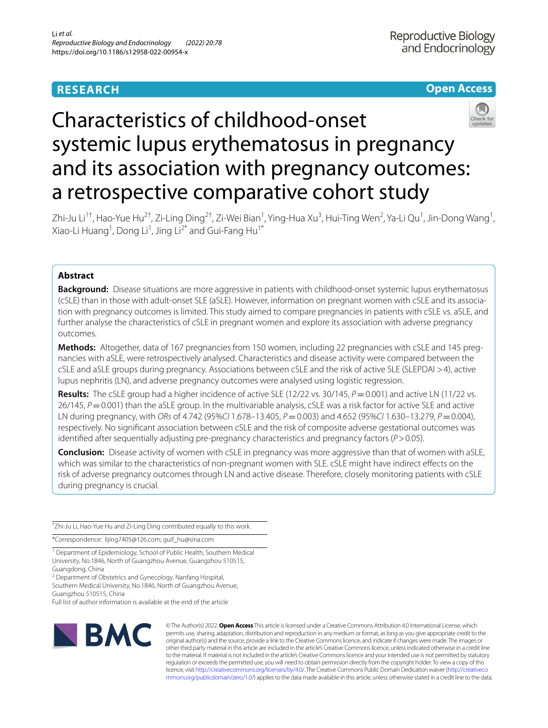# **RESEARCH**

# **Open Access**



# Characteristics of childhood-onset systemic lupus erythematosus in pregnancy and its association with pregnancy outcomes: a retrospective comparative cohort study

Zhi-Ju Li<sup>1†</sup>, Hao-Yue Hu<sup>2†</sup>, Zi-Ling Ding<sup>2†</sup>, Zi-Wei Bian<sup>1</sup>, Ying-Hua Xu<sup>3</sup>, Hui-Ting Wen<sup>2</sup>, Ya-Li Qu<sup>1</sup>, Jin-Dong Wang<sup>1</sup>, Xiao-Li Huang<sup>1</sup>, Dong Li<sup>1</sup>, Jing Li<sup>2\*</sup> and Gui-Fang Hu<sup>1\*</sup>

## **Abstract**

**Background:** Disease situations are more aggressive in patients with childhood-onset systemic lupus erythematosus (cSLE) than in those with adult-onset SLE (aSLE). However, information on pregnant women with cSLE and its associa‑ tion with pregnancy outcomes is limited. This study aimed to compare pregnancies in patients with cSLE vs. aSLE, and further analyse the characteristics of cSLE in pregnant women and explore its association with adverse pregnancy outcomes.

**Methods:** Altogether, data of 167 pregnancies from 150 women, including 22 pregnancies with cSLE and 145 pregnancies with aSLE, were retrospectively analysed. Characteristics and disease activity were compared between the cSLE and aSLE groups during pregnancy. Associations between cSLE and the risk of active SLE (SLEPDAI >4), active lupus nephritis (LN), and adverse pregnancy outcomes were analysed using logistic regression.

**Results:** The cSLE group had a higher incidence of active SLE (12/22 vs. 30/145, *P*=0.001) and active LN (11/22 vs. 26/145,  $P=0.001$ ) than the aSLE group. In the multivariable analysis, cSLE was a risk factor for active SLE and active LN during pregnancy, with *ORs* of 4.742 (95%*CI* 1.678–13.405, *P*=0.003) and 4.652 (95%*CI* 1.630–13.279, *P*=0.004), respectively. No signifcant association between cSLE and the risk of composite adverse gestational outcomes was identifed after sequentially adjusting pre-pregnancy characteristics and pregnancy factors (*P*>0.05).

**Conclusion:** Disease activity of women with cSLE in pregnancy was more aggressive than that of women with aSLE, which was similar to the characteristics of non-pregnant women with SLE. cSLE might have indirect efects on the risk of adverse pregnancy outcomes through LN and active disease. Therefore, closely monitoring patients with cSLE during pregnancy is crucial.

† Zhi-Ju Li, Hao-Yue Hu and Zi-Ling Ding contributed equally to this work.

\*Correspondence: lijing7405@126.com; guif\_hu@sina.com

<sup>1</sup> Department of Epidemiology, School of Public Health, Southern Medical University, No.1846, North of Guangzhou Avenue, Guangzhou 510515, Guangdong, China

<sup>2</sup> Department of Obstetrics and Gynecology, Nanfang Hospital, Southern Medical University, No.1846, North of Guangzhou Avenue,

Guangzhou 510515, China Full list of author information is available at the end of the article



© The Author(s) 2022. **Open Access** This article is licensed under a Creative Commons Attribution 4.0 International License, which permits use, sharing, adaptation, distribution and reproduction in any medium or format, as long as you give appropriate credit to the original author(s) and the source, provide a link to the Creative Commons licence, and indicate if changes were made. The images or other third party material in this article are included in the article's Creative Commons licence, unless indicated otherwise in a credit line to the material. If material is not included in the article's Creative Commons licence and your intended use is not permitted by statutory regulation or exceeds the permitted use, you will need to obtain permission directly from the copyright holder. To view a copy of this licence, visit [http://creativecommons.org/licenses/by/4.0/.](http://creativecommons.org/licenses/by/4.0/) The Creative Commons Public Domain Dedication waiver ([http://creativeco](http://creativecommons.org/publicdomain/zero/1.0/) [mmons.org/publicdomain/zero/1.0/](http://creativecommons.org/publicdomain/zero/1.0/)) applies to the data made available in this article, unless otherwise stated in a credit line to the data.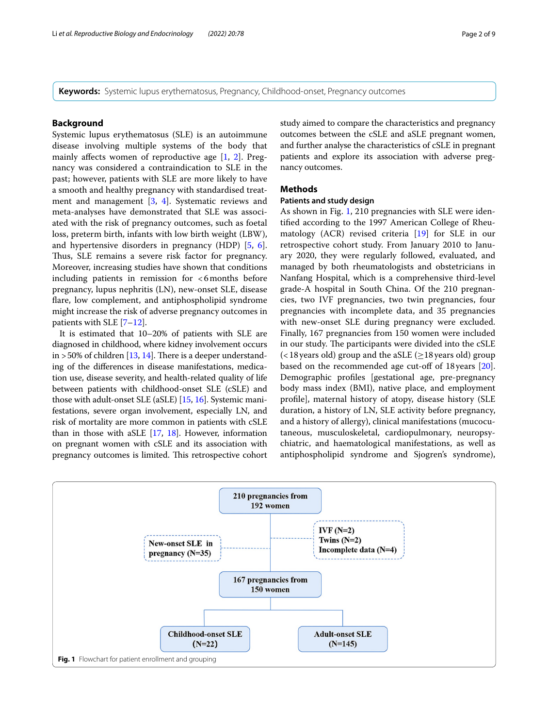**Keywords:** Systemic lupus erythematosus, Pregnancy, Childhood-onset, Pregnancy outcomes

## **Background**

Systemic lupus erythematosus (SLE) is an autoimmune disease involving multiple systems of the body that mainly afects women of reproductive age [[1,](#page-7-0) [2\]](#page-8-0). Pregnancy was considered a contraindication to SLE in the past; however, patients with SLE are more likely to have a smooth and healthy pregnancy with standardised treatment and management [[3,](#page-8-1) [4\]](#page-8-2). Systematic reviews and meta-analyses have demonstrated that SLE was associated with the risk of pregnancy outcomes, such as foetal loss, preterm birth, infants with low birth weight (LBW), and hypertensive disorders in pregnancy (HDP) [[5,](#page-8-3) [6](#page-8-4)]. Thus, SLE remains a severe risk factor for pregnancy. Moreover, increasing studies have shown that conditions including patients in remission for <6months before pregnancy, lupus nephritis (LN), new-onset SLE, disease fare, low complement, and antiphospholipid syndrome might increase the risk of adverse pregnancy outcomes in patients with SLE [[7–](#page-8-5)[12](#page-8-6)].

It is estimated that 10–20% of patients with SLE are diagnosed in childhood, where kidney involvement occurs in  $>50\%$  of children [\[13,](#page-8-7) [14\]](#page-8-8). There is a deeper understanding of the diferences in disease manifestations, medication use, disease severity, and health-related quality of life between patients with childhood-onset SLE (cSLE) and those with adult-onset SLE (aSLE) [[15](#page-8-9), [16](#page-8-10)]. Systemic manifestations, severe organ involvement, especially LN, and risk of mortality are more common in patients with cSLE than in those with aSLE  $[17, 18]$  $[17, 18]$  $[17, 18]$  $[17, 18]$  $[17, 18]$ . However, information on pregnant women with cSLE and its association with pregnancy outcomes is limited. This retrospective cohort study aimed to compare the characteristics and pregnancy outcomes between the cSLE and aSLE pregnant women, and further analyse the characteristics of cSLE in pregnant patients and explore its association with adverse pregnancy outcomes.

## **Methods**

## **Patients and study design**

As shown in Fig. [1](#page-1-0), 210 pregnancies with SLE were identifed according to the 1997 American College of Rheumatology (ACR) revised criteria [\[19](#page-8-13)] for SLE in our retrospective cohort study. From January 2010 to January 2020, they were regularly followed, evaluated, and managed by both rheumatologists and obstetricians in Nanfang Hospital, which is a comprehensive third-level grade-A hospital in South China. Of the 210 pregnancies, two IVF pregnancies, two twin pregnancies, four pregnancies with incomplete data, and 35 pregnancies with new-onset SLE during pregnancy were excluded. Finally, 167 pregnancies from 150 women were included in our study. The participants were divided into the cSLE  $\left($  < 18 years old) group and the aSLE ( $\geq$  18 years old) group based on the recommended age cut-off of 18 years [\[20](#page-8-14)]. Demographic profles [gestational age, pre-pregnancy body mass index (BMI), native place, and employment profle], maternal history of atopy, disease history (SLE duration, a history of LN, SLE activity before pregnancy, and a history of allergy), clinical manifestations (mucocutaneous, musculoskeletal, cardiopulmonary, neuropsychiatric, and haematological manifestations, as well as antiphospholipid syndrome and Sjogren's syndrome),

<span id="page-1-0"></span>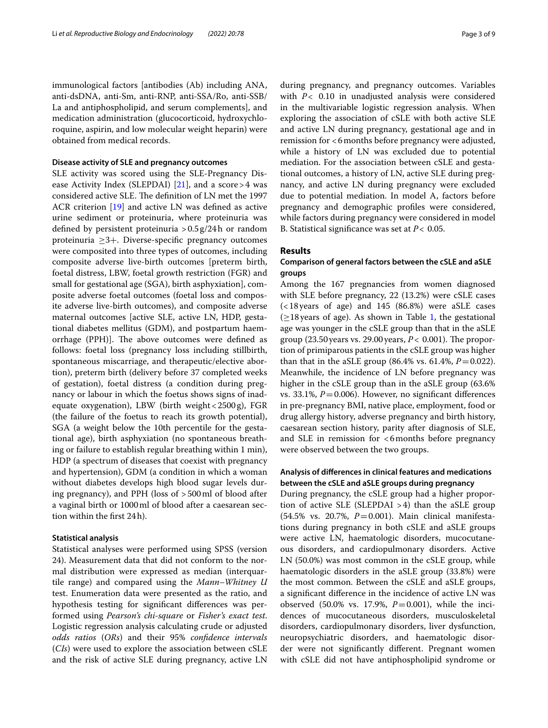immunological factors [antibodies (Ab) including ANA, anti-dsDNA, anti-Sm, anti-RNP, anti-SSA/Ro, anti-SSB/ La and antiphospholipid, and serum complements], and medication administration (glucocorticoid, hydroxychloroquine, aspirin, and low molecular weight heparin) were obtained from medical records.

#### **Disease activity of SLE and pregnancy outcomes**

SLE activity was scored using the SLE-Pregnancy Dis-ease Activity Index (SLEPDAI) [\[21\]](#page-8-15), and a score > 4 was considered active SLE. The definition of LN met the 1997 ACR criterion [\[19](#page-8-13)] and active LN was defned as active urine sediment or proteinuria, where proteinuria was defned by persistent proteinuria >0.5g/24h or random proteinuria ≥3+. Diverse-specifc pregnancy outcomes were composited into three types of outcomes, including composite adverse live-birth outcomes [preterm birth, foetal distress, LBW, foetal growth restriction (FGR) and small for gestational age (SGA), birth asphyxiation], composite adverse foetal outcomes (foetal loss and composite adverse live-birth outcomes), and composite adverse maternal outcomes [active SLE, active LN, HDP, gestational diabetes mellitus (GDM), and postpartum haemorrhage (PPH)]. The above outcomes were defined as follows: foetal loss (pregnancy loss including stillbirth, spontaneous miscarriage, and therapeutic/elective abortion), preterm birth (delivery before 37 completed weeks of gestation), foetal distress (a condition during pregnancy or labour in which the foetus shows signs of inadequate oxygenation), LBW (birth weight<2500g), FGR (the failure of the foetus to reach its growth potential), SGA (a weight below the 10th percentile for the gestational age), birth asphyxiation (no spontaneous breathing or failure to establish regular breathing within 1 min), HDP (a spectrum of diseases that coexist with pregnancy and hypertension), GDM (a condition in which a woman without diabetes develops high blood sugar levels during pregnancy), and PPH (loss of >500ml of blood after a vaginal birth or 1000ml of blood after a caesarean section within the frst 24h).

## **Statistical analysis**

Statistical analyses were performed using SPSS (version 24). Measurement data that did not conform to the normal distribution were expressed as median (interquartile range) and compared using the *Mann–Whitney U* test. Enumeration data were presented as the ratio, and hypothesis testing for signifcant diferences was performed using *Pearson's chi-square* or *Fisher's exact test*. Logistic regression analysis calculating crude or adjusted *odds ratios* (*ORs*) and their 95% *confdence intervals* (*CIs*) were used to explore the association between cSLE and the risk of active SLE during pregnancy, active LN during pregnancy, and pregnancy outcomes. Variables with *P*< 0.10 in unadjusted analysis were considered in the multivariable logistic regression analysis. When exploring the association of cSLE with both active SLE and active LN during pregnancy, gestational age and in remission for <6months before pregnancy were adjusted, while a history of LN was excluded due to potential mediation. For the association between cSLE and gestational outcomes, a history of LN, active SLE during pregnancy, and active LN during pregnancy were excluded due to potential mediation. In model A, factors before pregnancy and demographic profles were considered, while factors during pregnancy were considered in model B. Statistical signifcance was set at *P*< 0.05.

## **Results**

## **Comparison of general factors between the cSLE and aSLE groups**

Among the 167 pregnancies from women diagnosed with SLE before pregnancy, 22 (13.2%) were cSLE cases (<18years of age) and 145 (86.8%) were aSLE cases  $\geq$ [1](#page-3-0)8 years of age). As shown in Table 1, the gestational age was younger in the cSLE group than that in the aSLE group  $(23.50 \text{ years} \text{ vs. } 29.00 \text{ years}, P < 0.001)$ . The proportion of primiparous patients in the cSLE group was higher than that in the aSLE group (86.4% vs. 61.4%,  $P = 0.022$ ). Meanwhile, the incidence of LN before pregnancy was higher in the cSLE group than in the aSLE group (63.6% vs. 33.1%,  $P = 0.006$ ). However, no significant differences in pre-pregnancy BMI, native place, employment, food or drug allergy history, adverse pregnancy and birth history, caesarean section history, parity after diagnosis of SLE, and SLE in remission for <6months before pregnancy were observed between the two groups.

## **Analysis of diferences in clinical features and medications between the cSLE and aSLE groups during pregnancy**

During pregnancy, the cSLE group had a higher proportion of active SLE (SLEPDAI >4) than the aSLE group (54.5% vs. 20.7%, *P*=0.001). Main clinical manifestations during pregnancy in both cSLE and aSLE groups were active LN, haematologic disorders, mucocutaneous disorders, and cardiopulmonary disorders. Active LN (50.0%) was most common in the cSLE group, while haematologic disorders in the aSLE group (33.8%) were the most common. Between the cSLE and aSLE groups, a signifcant diference in the incidence of active LN was observed (50.0% vs. 17.9%, *P*=0.001), while the incidences of mucocutaneous disorders, musculoskeletal disorders, cardiopulmonary disorders, liver dysfunction, neuropsychiatric disorders, and haematologic disorder were not signifcantly diferent. Pregnant women with cSLE did not have antiphospholipid syndrome or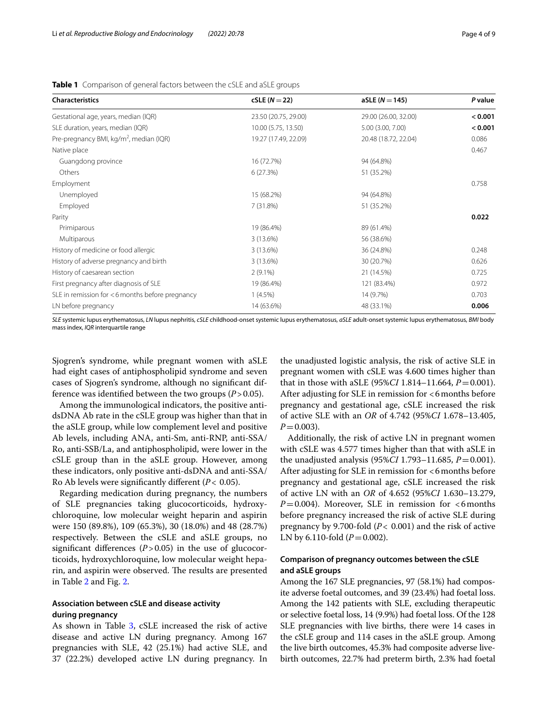| <b>Characteristics</b>                              | $cSLE (N=22)$        | $aSLE (N = 145)$     | P value |
|-----------------------------------------------------|----------------------|----------------------|---------|
| Gestational age, years, median (IQR)                | 23.50 (20.75, 29.00) | 29.00 (26.00, 32.00) | < 0.001 |
| SLE duration, years, median (IQR)                   | 10.00 (5.75, 13.50)  | 5.00 (3.00, 7.00)    | < 0.001 |
| Pre-pregnancy BMI, kg/m <sup>2</sup> , median (IQR) | 19.27 (17.49, 22.09) | 20.48 (18.72, 22.04) | 0.086   |
| Native place                                        |                      |                      | 0.467   |
| Guangdong province                                  | 16 (72.7%)           | 94 (64.8%)           |         |
| Others                                              | 6(27.3%)             | 51 (35.2%)           |         |
| Employment                                          |                      |                      | 0.758   |
| Unemployed                                          | 15 (68.2%)           | 94 (64.8%)           |         |
| Employed                                            | 7(31.8%)             | 51 (35.2%)           |         |
| Parity                                              |                      |                      | 0.022   |
| Primiparous                                         | 19 (86.4%)           | 89 (61.4%)           |         |
| Multiparous                                         | 3(13.6%)             | 56 (38.6%)           |         |
| History of medicine or food allergic                | 3 (13.6%)            | 36 (24.8%)           | 0.248   |
| History of adverse pregnancy and birth              | 3 (13.6%)            | 30 (20.7%)           | 0.626   |
| History of caesarean section                        | $2(9.1\%)$           | 21 (14.5%)           | 0.725   |
| First pregnancy after diagnosis of SLE              | 19 (86.4%)           | 121 (83.4%)          | 0.972   |
| SLE in remission for <6 months before pregnancy     | $1(4.5\%)$           | 14 (9.7%)            | 0.703   |
| LN before pregnancy                                 | 14 (63.6%)           | 48 (33.1%)           | 0.006   |

<span id="page-3-0"></span>**Table 1** Comparison of general factors between the cSLE and aSLE groups

*SLE* systemic lupus erythematosus, *LN* lupus nephritis, *cSLE* childhood-onset systemic lupus erythematosus, *aSLE* adult-onset systemic lupus erythematosus, *BMI* body mass index, *IQR* interquartile range

Sjogren's syndrome, while pregnant women with aSLE had eight cases of antiphospholipid syndrome and seven cases of Sjogren's syndrome, although no signifcant difference was identified between the two groups  $(P > 0.05)$ .

Among the immunological indicators, the positive antidsDNA Ab rate in the cSLE group was higher than that in the aSLE group, while low complement level and positive Ab levels, including ANA, anti-Sm, anti-RNP, anti-SSA/ Ro, anti-SSB/La, and antiphospholipid, were lower in the cSLE group than in the aSLE group. However, among these indicators, only positive anti-dsDNA and anti-SSA/ Ro Ab levels were signifcantly diferent (*P*< 0.05).

Regarding medication during pregnancy, the numbers of SLE pregnancies taking glucocorticoids, hydroxychloroquine, low molecular weight heparin and aspirin were 150 (89.8%), 109 (65.3%), 30 (18.0%) and 48 (28.7%) respectively. Between the cSLE and aSLE groups, no significant differences  $(P > 0.05)$  in the use of glucocorticoids, hydroxychloroquine, low molecular weight heparin, and aspirin were observed. The results are presented in Table [2](#page-4-0) and Fig. [2](#page-4-1).

## **Association between cSLE and disease activity during pregnancy**

As shown in Table [3](#page-5-0), cSLE increased the risk of active disease and active LN during pregnancy. Among 167 pregnancies with SLE, 42 (25.1%) had active SLE, and 37 (22.2%) developed active LN during pregnancy. In

the unadjusted logistic analysis, the risk of active SLE in pregnant women with cSLE was 4.600 times higher than that in those with aSLE (95%*CI* 1.814–11.664,  $P = 0.001$ ). After adjusting for SLE in remission for <6months before pregnancy and gestational age, cSLE increased the risk of active SLE with an *OR* of 4.742 (95%*CI* 1.678–13.405,  $P = 0.003$ ).

Additionally, the risk of active LN in pregnant women with cSLE was 4.577 times higher than that with aSLE in the unadjusted analysis (95%*CI* 1.793–11.685, *P*=0.001). After adjusting for SLE in remission for <6 months before pregnancy and gestational age, cSLE increased the risk of active LN with an *OR* of 4.652 (95%*CI* 1.630–13.279,  $P=0.004$ ). Moreover, SLE in remission for  $<6$  months before pregnancy increased the risk of active SLE during pregnancy by 9.700-fold (*P*< 0.001) and the risk of active LN by 6.110-fold  $(P=0.002)$ .

## **Comparison of pregnancy outcomes between the cSLE and aSLE groups**

Among the 167 SLE pregnancies, 97 (58.1%) had composite adverse foetal outcomes, and 39 (23.4%) had foetal loss. Among the 142 patients with SLE, excluding therapeutic or selective foetal loss, 14 (9.9%) had foetal loss. Of the 128 SLE pregnancies with live births, there were 14 cases in the cSLE group and 114 cases in the aSLE group. Among the live birth outcomes, 45.3% had composite adverse livebirth outcomes, 22.7% had preterm birth, 2.3% had foetal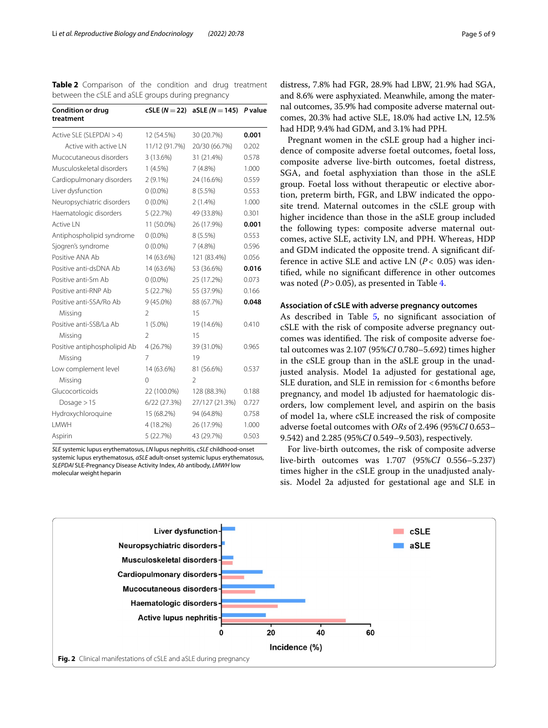<span id="page-4-0"></span>**Table 2** Comparison of the condition and drug treatment between the cSLE and aSLE groups during pregnancy

| <b>Condition or drug</b><br>treatment |                | $cSLE (N = 22)$ aSLE $(N = 145)$ | P value |
|---------------------------------------|----------------|----------------------------------|---------|
|                                       |                |                                  |         |
| Active SLE (SLEPDAI > 4)              | 12 (54.5%)     | 30 (20.7%)                       | 0.001   |
| Active with active IN                 | 11/12 (91.7%)  | 20/30 (66.7%)                    | 0.202   |
| Mucocutaneous disorders               | 3 (13.6%)      | 31 (21.4%)                       | 0.578   |
| Musculoskeletal disorders             | $1(4.5\%)$     | $7(4.8\%)$                       | 1.000   |
| Cardiopulmonary disorders             | $2(9.1\%)$     | 24 (16.6%)                       | 0.559   |
| Liver dysfunction                     | $0(0.0\%)$     | $8(5.5\%)$                       | 0.553   |
| Neuropsychiatric disorders            | $0(0.0\%)$     | $2(1.4\%)$                       | 1.000   |
| Haematologic disorders                | 5 (22.7%)      | 49 (33.8%)                       | 0.301   |
| <b>Active LN</b>                      | 11 (50.0%)     | 26 (17.9%)                       | 0.001   |
| Antiphospholipid syndrome             | $0(0.0\%)$     | 8(5.5%)                          | 0.553   |
| Sjogren's syndrome                    | $0(0.0\%)$     | 7(4.8%)                          | 0.596   |
| Positive ANA Ab                       | 14 (63.6%)     | 121 (83.4%)                      | 0.056   |
| Positive anti-dsDNA Ab                | 14 (63.6%)     | 53 (36.6%)                       | 0.016   |
| Positive anti-Sm Ab                   | $0(0.0\%)$     | 25 (17.2%)                       | 0.073   |
| Positive anti-RNP Ab                  | 5 (22.7%)      | 55 (37.9%)                       | 0.166   |
| Positive anti-SSA/Ro Ab               | 9 (45.0%)      | 88 (67.7%)                       | 0.048   |
| Missing                               | 2              | 15                               |         |
| Positive anti-SSB/La Ab               | $1(5.0\%)$     | 19 (14.6%)                       | 0.410   |
| Missing                               | $\mathfrak{D}$ | 15                               |         |
| Positive antiphospholipid Ab          | 4(26.7%)       | 39 (31.0%)                       | 0.965   |
| Missing                               | 7              | 19                               |         |
| Low complement level                  | 14 (63.6%)     | 81 (56.6%)                       | 0.537   |
| Missing                               | 0              | 2                                |         |
| Glucocorticoids                       | 22 (100.0%)    | 128 (88.3%)                      | 0.188   |
| Dosage $>15$                          | 6/22(27.3%)    | 27/127 (21.3%)                   | 0.727   |
| Hydroxychloroquine                    | 15 (68.2%)     | 94 (64.8%)                       | 0.758   |
| I MWH                                 | 4 (18.2%)      | 26 (17.9%)                       | 1.000   |
| Aspirin                               | 5 (22.7%)      | 43 (29.7%)                       | 0.503   |

*SLE* systemic lupus erythematosus, *LN* lupus nephritis, *cSLE* childhood-onset systemic lupus erythematosus, *aSLE* adult-onset systemic lupus erythematosus, *SLEPDAI* SLE-Pregnancy Disease Activity Index, *Ab* antibody, *LMWH* low molecular weight heparin

distress, 7.8% had FGR, 28.9% had LBW, 21.9% had SGA, and 8.6% were asphyxiated. Meanwhile, among the maternal outcomes, 35.9% had composite adverse maternal outcomes, 20.3% had active SLE, 18.0% had active LN, 12.5% had HDP, 9.4% had GDM, and 3.1% had PPH.

Pregnant women in the cSLE group had a higher incidence of composite adverse foetal outcomes, foetal loss, composite adverse live-birth outcomes, foetal distress, SGA, and foetal asphyxiation than those in the aSLE group. Foetal loss without therapeutic or elective abortion, preterm birth, FGR, and LBW indicated the opposite trend. Maternal outcomes in the cSLE group with higher incidence than those in the aSLE group included the following types: composite adverse maternal outcomes, active SLE, activity LN, and PPH. Whereas, HDP and GDM indicated the opposite trend. A signifcant difference in active SLE and active LN (*P*< 0.05) was identifed, while no signifcant diference in other outcomes was noted  $(P > 0.05)$ , as presented in Table [4.](#page-5-1)

## **Association of cSLE with adverse pregnancy outcomes**

As described in Table [5](#page-6-0), no significant association of cSLE with the risk of composite adverse pregnancy outcomes was identified. The risk of composite adverse foetal outcomes was 2.107 (95%*CI* 0.780–5.692) times higher in the cSLE group than in the aSLE group in the unadjusted analysis. Model 1a adjusted for gestational age, SLE duration, and SLE in remission for  $<6$  months before pregnancy, and model 1b adjusted for haematologic disorders, low complement level, and aspirin on the basis of model 1a, where cSLE increased the risk of composite adverse foetal outcomes with *ORs* of 2.496 (95%*CI* 0.653– 9.542) and 2.285 (95%*CI* 0.549–9.503), respectively.

For live-birth outcomes, the risk of composite adverse live-birth outcomes was 1.707 (95%*CI* 0.556–5.237) times higher in the cSLE group in the unadjusted analysis. Model 2a adjusted for gestational age and SLE in

<span id="page-4-1"></span>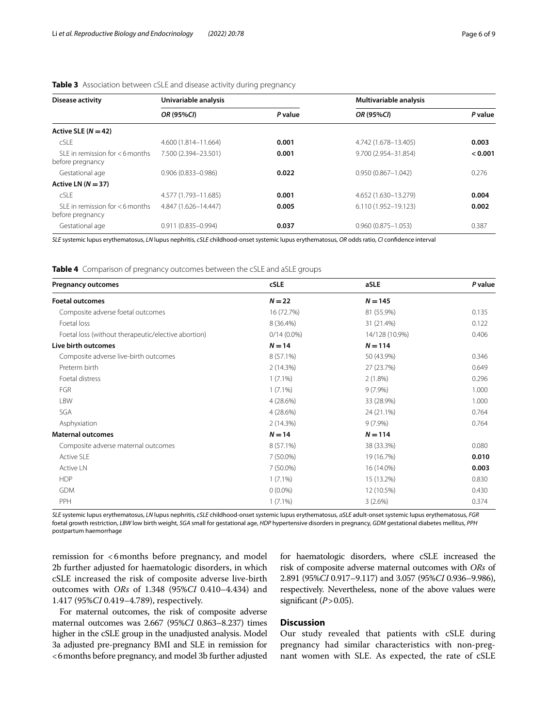| Disease activity                                         | Univariable analysis   |         | Multivariable analysis |         |
|----------------------------------------------------------|------------------------|---------|------------------------|---------|
|                                                          | OR (95%CI)             | P value | OR (95%CI)             | P value |
| Active SLE $(N = 42)$                                    |                        |         |                        |         |
| cSLE                                                     | 4.600 (1.814-11.664)   | 0.001   | 4.742 (1.678-13.405)   | 0.003   |
| $SI$ F in remission for $<$ 6 months<br>before pregnancy | 7.500 (2.394-23.501)   | 0.001   | 9.700 (2.954-31.854)   | 0.001   |
| Gestational age                                          | $0.906(0.833 - 0.986)$ | 0.022   | $0.950(0.867 - 1.042)$ | 0.276   |
| Active LN $(N = 37)$                                     |                        |         |                        |         |
| cSLE                                                     | 4.577 (1.793-11.685)   | 0.001   | 4.652 (1.630-13.279)   | 0.004   |
| $SI$ F in remission for $<$ 6 months<br>before pregnancy | 4.847 (1.626-14.447)   | 0.005   | 6.110 (1.952-19.123)   | 0.002   |
| Gestational age                                          | $0.911(0.835 - 0.994)$ | 0.037   | $0.960(0.875 - 1.053)$ | 0.387   |

## <span id="page-5-0"></span>**Table 3** Association between cSLE and disease activity during pregnancy

*SLE* systemic lupus erythematosus, *LN* lupus nephritis, *cSLE* childhood-onset systemic lupus erythematosus, *OR* odds ratio, *CI* confdence interval

<span id="page-5-1"></span>**Table 4** Comparison of pregnancy outcomes between the cSLE and aSLE groups

| <b>Pregnancy outcomes</b>                           | <b>cSLE</b>   | aSLE           | P value |
|-----------------------------------------------------|---------------|----------------|---------|
| <b>Foetal outcomes</b>                              | $N = 22$      | $N = 145$      |         |
| Composite adverse foetal outcomes                   | 16 (72.7%)    | 81 (55.9%)     | 0.135   |
| Foetal loss                                         | 8 (36.4%)     | 31 (21.4%)     | 0.122   |
| Foetal loss (without therapeutic/elective abortion) | $0/14(0.0\%)$ | 14/128 (10.9%) | 0.406   |
| Live birth outcomes                                 | $N = 14$      | $N = 114$      |         |
| Composite adverse live-birth outcomes               | 8 (57.1%)     | 50 (43.9%)     | 0.346   |
| Preterm birth                                       | 2(14.3%)      | 27 (23.7%)     | 0.649   |
| Foetal distress                                     | $1(7.1\%)$    | $2(1.8\%)$     | 0.296   |
| FGR                                                 | $1(7.1\%)$    | $9(7.9\%)$     | 1.000   |
| <b>LBW</b>                                          | 4(28.6%)      | 33 (28.9%)     | 1.000   |
| SGA                                                 | 4 (28.6%)     | 24 (21.1%)     | 0.764   |
| Asphyxiation                                        | 2(14.3%)      | $9(7.9\%)$     | 0.764   |
| <b>Maternal outcomes</b>                            | $N = 14$      | $N = 114$      |         |
| Composite adverse maternal outcomes                 | 8 (57.1%)     | 38 (33.3%)     | 0.080   |
| <b>Active SLE</b>                                   | 7 (50.0%)     | 19 (16.7%)     | 0.010   |
| Active LN                                           | 7 (50.0%)     | 16 (14.0%)     | 0.003   |
| <b>HDP</b>                                          | $1(7.1\%)$    | 15 (13.2%)     | 0.830   |
| <b>GDM</b>                                          | $0(0.0\%)$    | 12 (10.5%)     | 0.430   |
| PPH                                                 | $1(7.1\%)$    | 3(2.6%)        | 0.374   |

*SLE* systemic lupus erythematosus, *LN* lupus nephritis, *cSLE* childhood-onset systemic lupus erythematosus, *aSLE* adult-onset systemic lupus erythematosus, *FGR* foetal growth restriction, *LBW* low birth weight, *SGA* small for gestational age, *HDP* hypertensive disorders in pregnancy, *GDM* gestational diabetes mellitus, *PPH* postpartum haemorrhage

remission for <6months before pregnancy, and model 2b further adjusted for haematologic disorders, in which cSLE increased the risk of composite adverse live-birth outcomes with *ORs* of 1.348 (95%*CI* 0.410–4.434) and 1.417 (95%*CI* 0.419–4.789), respectively.

For maternal outcomes, the risk of composite adverse maternal outcomes was 2.667 (95%*CI* 0.863–8.237) times higher in the cSLE group in the unadjusted analysis. Model 3a adjusted pre-pregnancy BMI and SLE in remission for <6months before pregnancy, and model 3b further adjusted for haematologic disorders, where cSLE increased the risk of composite adverse maternal outcomes with *ORs* of 2.891 (95%*CI* 0.917–9.117) and 3.057 (95%*CI* 0.936–9.986), respectively. Nevertheless, none of the above values were significant  $(P>0.05)$ .

## **Discussion**

Our study revealed that patients with cSLE during pregnancy had similar characteristics with non-pregnant women with SLE. As expected, the rate of cSLE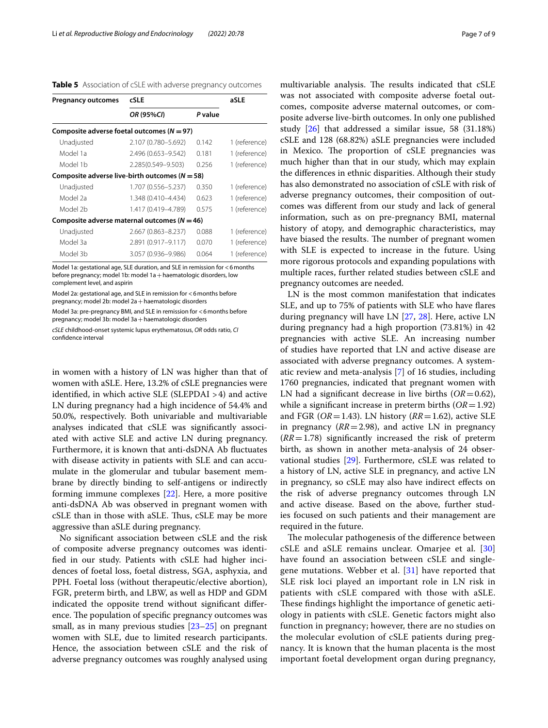<span id="page-6-0"></span>

|  | Table 5 Association of cSLE with adverse pregnancy outcomes |  |  |  |  |
|--|-------------------------------------------------------------|--|--|--|--|
|--|-------------------------------------------------------------|--|--|--|--|

| <b>Pregnancy outcomes</b>                          | cSLE                |         | aSLE          |  |  |
|----------------------------------------------------|---------------------|---------|---------------|--|--|
|                                                    | OR (95%CI)          | P value |               |  |  |
| Composite adverse foetal outcomes ( $N = 97$ )     |                     |         |               |  |  |
| Unadjusted                                         | 2.107 (0.780-5.692) | 0.142   | 1 (reference) |  |  |
| Model 1a                                           | 2.496 (0.653-9.542) | 0.181   | 1 (reference) |  |  |
| Model 1b                                           | 2.285(0.549-9.503)  | በ 256   | 1 (reference) |  |  |
| Composite adverse live-birth outcomes ( $N = 58$ ) |                     |         |               |  |  |
| Unadjusted                                         | 1.707 (0.556-5.237) | 0.350   | 1 (reference) |  |  |
| Model 2a                                           | 1.348 (0.410-4.434) | 0.623   | 1 (reference) |  |  |
| Model 2b                                           | 1.417 (0.419-4.789) | 0.575   | 1 (reference) |  |  |
| Composite adverse maternal outcomes ( $N = 46$ )   |                     |         |               |  |  |
| Unadjusted                                         | 2.667 (0.863-8.237) | 0.088   | 1 (reference) |  |  |
| Model 3a                                           | 2.891 (0.917-9.117) | 0.070   | 1 (reference) |  |  |
| Model 3h                                           | 3.057 (0.936-9.986) | 0.064   | 1 (reference) |  |  |

Model 1a: gestational age, SLE duration, and SLE in remission for <6months before pregnancy; model 1b: model 1a + haematologic disorders, low complement level, and aspirin

Model 2a: gestational age, and SLE in remission for <6months before pregnancy; model 2b: model 2a+haematologic disorders

Model 3a: pre-pregnancy BMI, and SLE in remission for <6months before pregnancy; model 3b: model 3a + haematologic disorders

*cSLE* childhood-onset systemic lupus erythematosus, *OR* odds ratio, *CI* confdence interval

in women with a history of LN was higher than that of women with aSLE. Here, 13.2% of cSLE pregnancies were identifed, in which active SLE (SLEPDAI >4) and active LN during pregnancy had a high incidence of 54.4% and 50.0%, respectively. Both univariable and multivariable analyses indicated that cSLE was signifcantly associated with active SLE and active LN during pregnancy. Furthermore, it is known that anti-dsDNA Ab fuctuates with disease activity in patients with SLE and can accumulate in the glomerular and tubular basement membrane by directly binding to self-antigens or indirectly forming immune complexes [[22](#page-8-16)]. Here, a more positive anti-dsDNA Ab was observed in pregnant women with cSLE than in those with aSLE. Thus, cSLE may be more aggressive than aSLE during pregnancy.

No signifcant association between cSLE and the risk of composite adverse pregnancy outcomes was identifed in our study. Patients with cSLE had higher incidences of foetal loss, foetal distress, SGA, asphyxia, and PPH. Foetal loss (without therapeutic/elective abortion), FGR, preterm birth, and LBW, as well as HDP and GDM indicated the opposite trend without signifcant diference. The population of specific pregnancy outcomes was small, as in many previous studies [\[23](#page-8-17)[–25\]](#page-8-18) on pregnant women with SLE, due to limited research participants. Hence, the association between cSLE and the risk of adverse pregnancy outcomes was roughly analysed using multivariable analysis. The results indicated that cSLE was not associated with composite adverse foetal outcomes, composite adverse maternal outcomes, or composite adverse live-birth outcomes. In only one published study [[26\]](#page-8-19) that addressed a similar issue, 58 (31.18%) cSLE and 128 (68.82%) aSLE pregnancies were included in Mexico. The proportion of cSLE pregnancies was much higher than that in our study, which may explain the diferences in ethnic disparities. Although their study has also demonstrated no association of cSLE with risk of adverse pregnancy outcomes, their composition of outcomes was diferent from our study and lack of general information, such as on pre-pregnancy BMI, maternal history of atopy, and demographic characteristics, may have biased the results. The number of pregnant women with SLE is expected to increase in the future. Using more rigorous protocols and expanding populations with multiple races, further related studies between cSLE and pregnancy outcomes are needed.

LN is the most common manifestation that indicates SLE, and up to 75% of patients with SLE who have fares during pregnancy will have LN [[27,](#page-8-20) [28\]](#page-8-21). Here, active LN during pregnancy had a high proportion (73.81%) in 42 pregnancies with active SLE. An increasing number of studies have reported that LN and active disease are associated with adverse pregnancy outcomes. A systematic review and meta-analysis [[7\]](#page-8-5) of 16 studies, including 1760 pregnancies, indicated that pregnant women with LN had a significant decrease in live births  $(OR=0.62)$ , while a signifcant increase in preterm births (*OR*=1.92) and FGR (*OR*=1.43). LN history (*RR*=1.62), active SLE in pregnancy  $(RR = 2.98)$ , and active LN in pregnancy  $(RR=1.78)$  significantly increased the risk of preterm birth, as shown in another meta-analysis of 24 observational studies [[29\]](#page-8-22). Furthermore, cSLE was related to a history of LN, active SLE in pregnancy, and active LN in pregnancy, so cSLE may also have indirect efects on the risk of adverse pregnancy outcomes through LN and active disease. Based on the above, further studies focused on such patients and their management are required in the future.

The molecular pathogenesis of the difference between cSLE and aSLE remains unclear. Omarjee et al. [\[30](#page-8-23)] have found an association between cSLE and singlegene mutations. Webber et al. [[31\]](#page-8-24) have reported that SLE risk loci played an important role in LN risk in patients with cSLE compared with those with aSLE. These findings highlight the importance of genetic aetiology in patients with cSLE. Genetic factors might also function in pregnancy; however, there are no studies on the molecular evolution of cSLE patients during pregnancy. It is known that the human placenta is the most important foetal development organ during pregnancy,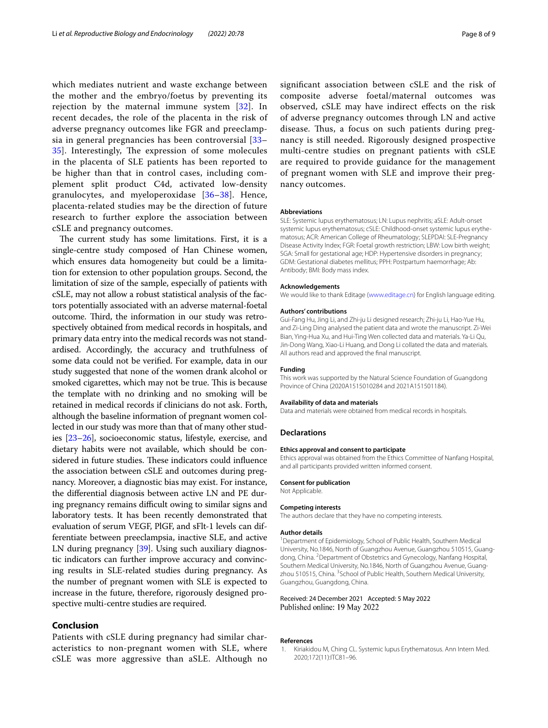which mediates nutrient and waste exchange between the mother and the embryo/foetus by preventing its rejection by the maternal immune system [[32\]](#page-8-25). In recent decades, the role of the placenta in the risk of adverse pregnancy outcomes like FGR and preeclampsia in general pregnancies has been controversial [[33–](#page-8-26) [35\]](#page-8-27). Interestingly, The expression of some molecules in the placenta of SLE patients has been reported to be higher than that in control cases, including complement split product C4d, activated low-density granulocytes, and myeloperoxidase [[36–](#page-8-28)[38](#page-8-29)]. Hence, placenta-related studies may be the direction of future research to further explore the association between cSLE and pregnancy outcomes.

The current study has some limitations. First, it is a single-centre study composed of Han Chinese women, which ensures data homogeneity but could be a limitation for extension to other population groups. Second, the limitation of size of the sample, especially of patients with cSLE, may not allow a robust statistical analysis of the factors potentially associated with an adverse maternal-foetal outcome. Third, the information in our study was retrospectively obtained from medical records in hospitals, and primary data entry into the medical records was not standardised. Accordingly, the accuracy and truthfulness of some data could not be verifed. For example, data in our study suggested that none of the women drank alcohol or smoked cigarettes, which may not be true. This is because the template with no drinking and no smoking will be retained in medical records if clinicians do not ask. Forth, although the baseline information of pregnant women collected in our study was more than that of many other studies [\[23–](#page-8-17)[26](#page-8-19)], socioeconomic status, lifestyle, exercise, and dietary habits were not available, which should be considered in future studies. These indicators could influence the association between cSLE and outcomes during pregnancy. Moreover, a diagnostic bias may exist. For instance, the diferential diagnosis between active LN and PE during pregnancy remains difficult owing to similar signs and laboratory tests. It has been recently demonstrated that evaluation of serum VEGF, PlGF, and sFlt-1 levels can differentiate between preeclampsia, inactive SLE, and active LN during pregnancy [\[39\]](#page-8-30). Using such auxiliary diagnostic indicators can further improve accuracy and convincing results in SLE-related studies during pregnancy. As the number of pregnant women with SLE is expected to increase in the future, therefore, rigorously designed prospective multi-centre studies are required.

## **Conclusion**

Patients with cSLE during pregnancy had similar characteristics to non-pregnant women with SLE, where cSLE was more aggressive than aSLE. Although no signifcant association between cSLE and the risk of composite adverse foetal/maternal outcomes was observed, cSLE may have indirect efects on the risk of adverse pregnancy outcomes through LN and active disease. Thus, a focus on such patients during pregnancy is still needed. Rigorously designed prospective multi-centre studies on pregnant patients with cSLE are required to provide guidance for the management of pregnant women with SLE and improve their pregnancy outcomes.

#### **Abbreviations**

SLE: Systemic lupus erythematosus; LN: Lupus nephritis; aSLE: Adult-onset systemic lupus erythematosus; cSLE: Childhood-onset systemic lupus erythematosus; ACR: American College of Rheumatology; SLEPDAI: SLE-Pregnancy Disease Activity Index; FGR: Foetal growth restriction; LBW: Low birth weight; SGA: Small for gestational age; HDP: Hypertensive disorders in pregnancy; GDM: Gestational diabetes mellitus; PPH: Postpartum haemorrhage; Ab: Antibody; BMI: Body mass index.

#### **Acknowledgements**

We would like to thank Editage ([www.editage.cn\)](http://www.editage.cn) for English language editing.

#### **Authors' contributions**

Gui-Fang Hu, Jing Li, and Zhi-ju Li designed research; Zhi-ju Li, Hao-Yue Hu, and Zi-Ling Ding analysed the patient data and wrote the manuscript. Zi-Wei Bian, Ying-Hua Xu, and Hui-Ting Wen collected data and materials. Ya-Li Qu, Jin-Dong Wang, Xiao-Li Huang, and Dong Li collated the data and materials. All authors read and approved the fnal manuscript.

#### **Funding**

This work was supported by the Natural Science Foundation of Guangdong Province of China (2020A1515010284 and 2021A151501184).

#### **Availability of data and materials**

Data and materials were obtained from medical records in hospitals.

#### **Declarations**

#### **Ethics approval and consent to participate**

Ethics approval was obtained from the Ethics Committee of Nanfang Hospital, and all participants provided written informed consent.

#### **Consent for publication**

Not Applicable.

#### **Competing interests**

The authors declare that they have no competing interests.

#### **Author details**

<sup>1</sup> Department of Epidemiology, School of Public Health, Southern Medical University, No.1846, North of Guangzhou Avenue, Guangzhou 510515, Guang‑ dong, China. <sup>2</sup> Department of Obstetrics and Gynecology, Nanfang Hospital, Southern Medical University, No.1846, North of Guangzhou Avenue, Guangzhou 510515, China. <sup>3</sup> School of Public Health, Southern Medical University, Guangzhou, Guangdong, China.

#### Received: 24 December 2021 Accepted: 5 May 2022 Published online: 19 May 2022

#### **References**

<span id="page-7-0"></span>Kiriakidou M, Ching CL. Systemic lupus Erythematosus. Ann Intern Med. 2020;172(11):ITC81–96.